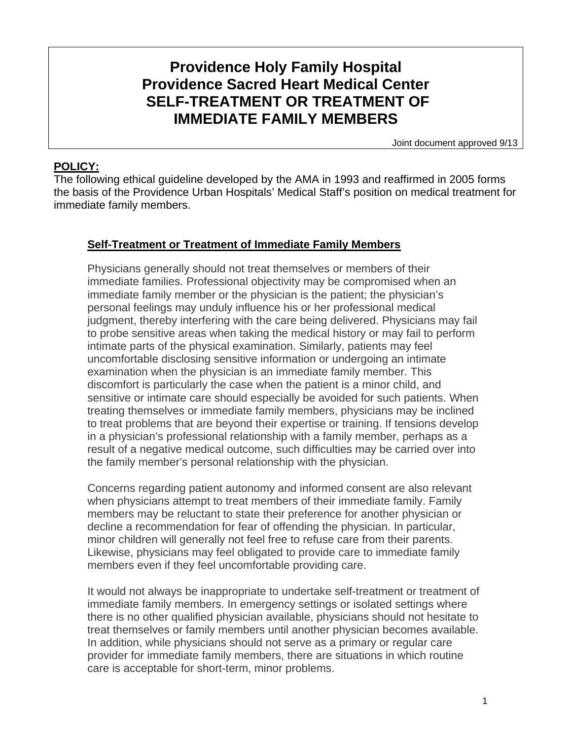## **Providence Holy Family Hospital Providence Sacred Heart Medical Center SELF-TREATMENT OR TREATMENT OF IMMEDIATE FAMILY MEMBERS**

Joint document approved 9/13

## **POLICY:**

The following ethical guideline developed by the AMA in 1993 and reaffirmed in 2005 forms the basis of the Providence Urban Hospitals' Medical Staff's position on medical treatment for immediate family members.

## **Self-Treatment or Treatment of Immediate Family Members**

Physicians generally should not treat themselves or members of their immediate families. Professional objectivity may be compromised when an immediate family member or the physician is the patient; the physician's personal feelings may unduly influence his or her professional medical judgment, thereby interfering with the care being delivered. Physicians may fail to probe sensitive areas when taking the medical history or may fail to perform intimate parts of the physical examination. Similarly, patients may feel uncomfortable disclosing sensitive information or undergoing an intimate examination when the physician is an immediate family member. This discomfort is particularly the case when the patient is a minor child, and sensitive or intimate care should especially be avoided for such patients. When treating themselves or immediate family members, physicians may be inclined to treat problems that are beyond their expertise or training. If tensions develop in a physician's professional relationship with a family member, perhaps as a result of a negative medical outcome, such difficulties may be carried over into the family member's personal relationship with the physician.

Concerns regarding patient autonomy and informed consent are also relevant when physicians attempt to treat members of their immediate family. Family members may be reluctant to state their preference for another physician or decline a recommendation for fear of offending the physician. In particular, minor children will generally not feel free to refuse care from their parents. Likewise, physicians may feel obligated to provide care to immediate family members even if they feel uncomfortable providing care.

It would not always be inappropriate to undertake self-treatment or treatment of immediate family members. In emergency settings or isolated settings where there is no other qualified physician available, physicians should not hesitate to treat themselves or family members until another physician becomes available. In addition, while physicians should not serve as a primary or regular care provider for immediate family members, there are situations in which routine care is acceptable for short-term, minor problems.